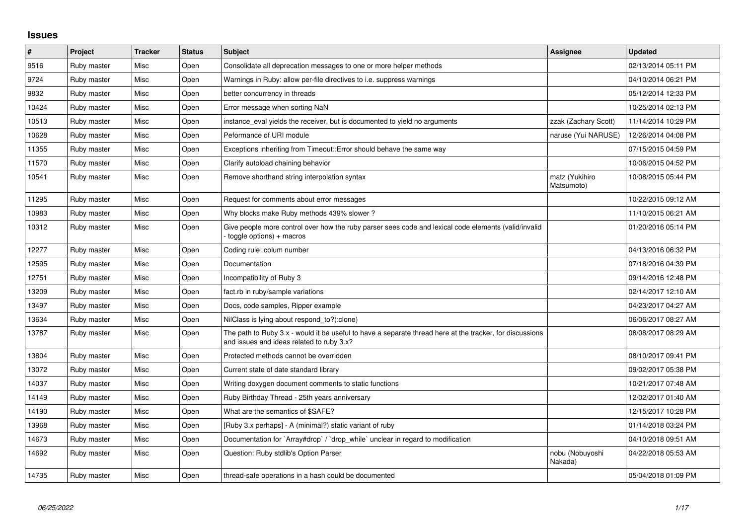## **Issues**

| $\vert$ # | Project     | <b>Tracker</b> | <b>Status</b> | <b>Subject</b>                                                                                                                                        | <b>Assignee</b>              | <b>Updated</b>      |
|-----------|-------------|----------------|---------------|-------------------------------------------------------------------------------------------------------------------------------------------------------|------------------------------|---------------------|
| 9516      | Ruby master | Misc           | Open          | Consolidate all deprecation messages to one or more helper methods                                                                                    |                              | 02/13/2014 05:11 PM |
| 9724      | Ruby master | Misc           | Open          | Warnings in Ruby: allow per-file directives to i.e. suppress warnings                                                                                 |                              | 04/10/2014 06:21 PM |
| 9832      | Ruby master | Misc           | Open          | better concurrency in threads                                                                                                                         |                              | 05/12/2014 12:33 PM |
| 10424     | Ruby master | Misc           | Open          | Error message when sorting NaN                                                                                                                        |                              | 10/25/2014 02:13 PM |
| 10513     | Ruby master | Misc           | Open          | instance eval yields the receiver, but is documented to yield no arguments                                                                            | zzak (Zachary Scott)         | 11/14/2014 10:29 PM |
| 10628     | Ruby master | Misc           | Open          | Peformance of URI module                                                                                                                              | naruse (Yui NARUSE)          | 12/26/2014 04:08 PM |
| 11355     | Ruby master | Misc           | Open          | Exceptions inheriting from Timeout:: Error should behave the same way                                                                                 |                              | 07/15/2015 04:59 PM |
| 11570     | Ruby master | Misc           | Open          | Clarify autoload chaining behavior                                                                                                                    |                              | 10/06/2015 04:52 PM |
| 10541     | Ruby master | Misc           | Open          | Remove shorthand string interpolation syntax                                                                                                          | matz (Yukihiro<br>Matsumoto) | 10/08/2015 05:44 PM |
| 11295     | Ruby master | Misc           | Open          | Request for comments about error messages                                                                                                             |                              | 10/22/2015 09:12 AM |
| 10983     | Ruby master | Misc           | Open          | Why blocks make Ruby methods 439% slower?                                                                                                             |                              | 11/10/2015 06:21 AM |
| 10312     | Ruby master | Misc           | Open          | Give people more control over how the ruby parser sees code and lexical code elements (valid/invalid<br>$-$ toggle options) + macros                  |                              | 01/20/2016 05:14 PM |
| 12277     | Ruby master | Misc           | Open          | Coding rule: colum number                                                                                                                             |                              | 04/13/2016 06:32 PM |
| 12595     | Ruby master | Misc           | Open          | Documentation                                                                                                                                         |                              | 07/18/2016 04:39 PM |
| 12751     | Ruby master | Misc           | Open          | Incompatibility of Ruby 3                                                                                                                             |                              | 09/14/2016 12:48 PM |
| 13209     | Ruby master | Misc           | Open          | fact.rb in ruby/sample variations                                                                                                                     |                              | 02/14/2017 12:10 AM |
| 13497     | Ruby master | Misc           | Open          | Docs, code samples, Ripper example                                                                                                                    |                              | 04/23/2017 04:27 AM |
| 13634     | Ruby master | Misc           | Open          | NilClass is lying about respond to?(:clone)                                                                                                           |                              | 06/06/2017 08:27 AM |
| 13787     | Ruby master | Misc           | Open          | The path to Ruby 3.x - would it be useful to have a separate thread here at the tracker, for discussions<br>and issues and ideas related to ruby 3.x? |                              | 08/08/2017 08:29 AM |
| 13804     | Ruby master | Misc           | Open          | Protected methods cannot be overridden                                                                                                                |                              | 08/10/2017 09:41 PM |
| 13072     | Ruby master | Misc           | Open          | Current state of date standard library                                                                                                                |                              | 09/02/2017 05:38 PM |
| 14037     | Ruby master | Misc           | Open          | Writing doxygen document comments to static functions                                                                                                 |                              | 10/21/2017 07:48 AM |
| 14149     | Ruby master | Misc           | Open          | Ruby Birthday Thread - 25th years anniversary                                                                                                         |                              | 12/02/2017 01:40 AM |
| 14190     | Ruby master | Misc           | Open          | What are the semantics of \$SAFE?                                                                                                                     |                              | 12/15/2017 10:28 PM |
| 13968     | Ruby master | Misc           | Open          | [Ruby 3.x perhaps] - A (minimal?) static variant of ruby                                                                                              |                              | 01/14/2018 03:24 PM |
| 14673     | Ruby master | Misc           | Open          | Documentation for `Array#drop` / `drop while` unclear in regard to modification                                                                       |                              | 04/10/2018 09:51 AM |
| 14692     | Ruby master | Misc           | Open          | Question: Ruby stdlib's Option Parser                                                                                                                 | nobu (Nobuyoshi<br>Nakada)   | 04/22/2018 05:53 AM |
| 14735     | Ruby master | Misc           | Open          | thread-safe operations in a hash could be documented                                                                                                  |                              | 05/04/2018 01:09 PM |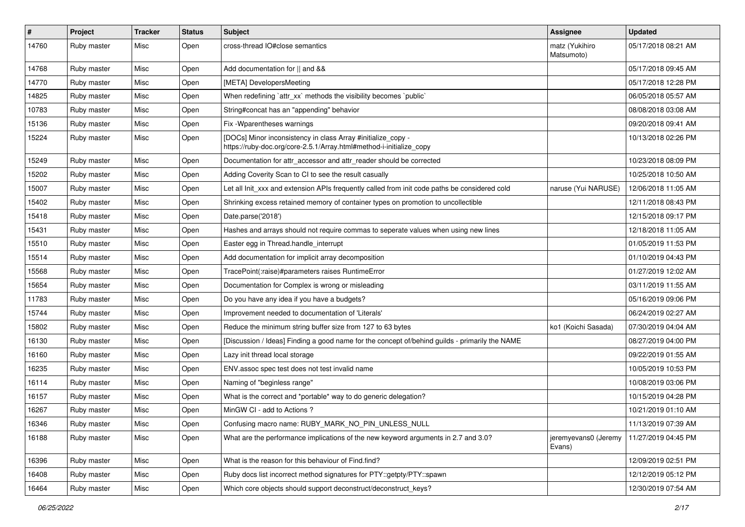| $\pmb{\#}$ | Project     | <b>Tracker</b> | <b>Status</b> | Subject                                                                                                                             | <b>Assignee</b>                | <b>Updated</b>      |
|------------|-------------|----------------|---------------|-------------------------------------------------------------------------------------------------------------------------------------|--------------------------------|---------------------|
| 14760      | Ruby master | Misc           | Open          | cross-thread IO#close semantics                                                                                                     | matz (Yukihiro<br>Matsumoto)   | 05/17/2018 08:21 AM |
| 14768      | Ruby master | Misc           | Open          | Add documentation for    and &&                                                                                                     |                                | 05/17/2018 09:45 AM |
| 14770      | Ruby master | Misc           | Open          | [META] DevelopersMeeting                                                                                                            |                                | 05/17/2018 12:28 PM |
| 14825      | Ruby master | Misc           | Open          | When redefining `attr_xx` methods the visibility becomes `public`                                                                   |                                | 06/05/2018 05:57 AM |
| 10783      | Ruby master | Misc           | Open          | String#concat has an "appending" behavior                                                                                           |                                | 08/08/2018 03:08 AM |
| 15136      | Ruby master | Misc           | Open          | Fix - Wparentheses warnings                                                                                                         |                                | 09/20/2018 09:41 AM |
| 15224      | Ruby master | Misc           | Open          | [DOCs] Minor inconsistency in class Array #initialize_copy -<br>https://ruby-doc.org/core-2.5.1/Array.html#method-i-initialize_copy |                                | 10/13/2018 02:26 PM |
| 15249      | Ruby master | Misc           | Open          | Documentation for attr_accessor and attr_reader should be corrected                                                                 |                                | 10/23/2018 08:09 PM |
| 15202      | Ruby master | Misc           | Open          | Adding Coverity Scan to CI to see the result casually                                                                               |                                | 10/25/2018 10:50 AM |
| 15007      | Ruby master | Misc           | Open          | Let all Init_xxx and extension APIs frequently called from init code paths be considered cold                                       | naruse (Yui NARUSE)            | 12/06/2018 11:05 AM |
| 15402      | Ruby master | Misc           | Open          | Shrinking excess retained memory of container types on promotion to uncollectible                                                   |                                | 12/11/2018 08:43 PM |
| 15418      | Ruby master | Misc           | Open          | Date.parse('2018')                                                                                                                  |                                | 12/15/2018 09:17 PM |
| 15431      | Ruby master | Misc           | Open          | Hashes and arrays should not require commas to seperate values when using new lines                                                 |                                | 12/18/2018 11:05 AM |
| 15510      | Ruby master | Misc           | Open          | Easter egg in Thread.handle_interrupt                                                                                               |                                | 01/05/2019 11:53 PM |
| 15514      | Ruby master | Misc           | Open          | Add documentation for implicit array decomposition                                                                                  |                                | 01/10/2019 04:43 PM |
| 15568      | Ruby master | Misc           | Open          | TracePoint(:raise)#parameters raises RuntimeError                                                                                   |                                | 01/27/2019 12:02 AM |
| 15654      | Ruby master | Misc           | Open          | Documentation for Complex is wrong or misleading                                                                                    |                                | 03/11/2019 11:55 AM |
| 11783      | Ruby master | Misc           | Open          | Do you have any idea if you have a budgets?                                                                                         |                                | 05/16/2019 09:06 PM |
| 15744      | Ruby master | Misc           | Open          | Improvement needed to documentation of 'Literals'                                                                                   |                                | 06/24/2019 02:27 AM |
| 15802      | Ruby master | Misc           | Open          | Reduce the minimum string buffer size from 127 to 63 bytes                                                                          | ko1 (Koichi Sasada)            | 07/30/2019 04:04 AM |
| 16130      | Ruby master | Misc           | Open          | [Discussion / Ideas] Finding a good name for the concept of/behind guilds - primarily the NAME                                      |                                | 08/27/2019 04:00 PM |
| 16160      | Ruby master | Misc           | Open          | Lazy init thread local storage                                                                                                      |                                | 09/22/2019 01:55 AM |
| 16235      | Ruby master | Misc           | Open          | ENV.assoc spec test does not test invalid name                                                                                      |                                | 10/05/2019 10:53 PM |
| 16114      | Ruby master | Misc           | Open          | Naming of "beginless range"                                                                                                         |                                | 10/08/2019 03:06 PM |
| 16157      | Ruby master | Misc           | Open          | What is the correct and *portable* way to do generic delegation?                                                                    |                                | 10/15/2019 04:28 PM |
| 16267      | Ruby master | Misc           | Open          | MinGW CI - add to Actions ?                                                                                                         |                                | 10/21/2019 01:10 AM |
| 16346      | Ruby master | Misc           | Open          | Confusing macro name: RUBY_MARK_NO_PIN_UNLESS_NULL                                                                                  |                                | 11/13/2019 07:39 AM |
| 16188      | Ruby master | Misc           | Open          | What are the performance implications of the new keyword arguments in 2.7 and 3.0?                                                  | jeremyevans0 (Jeremy<br>Evans) | 11/27/2019 04:45 PM |
| 16396      | Ruby master | Misc           | Open          | What is the reason for this behaviour of Find.find?                                                                                 |                                | 12/09/2019 02:51 PM |
| 16408      | Ruby master | Misc           | Open          | Ruby docs list incorrect method signatures for PTY::getpty/PTY::spawn                                                               |                                | 12/12/2019 05:12 PM |
| 16464      | Ruby master | Misc           | Open          | Which core objects should support deconstruct/deconstruct keys?                                                                     |                                | 12/30/2019 07:54 AM |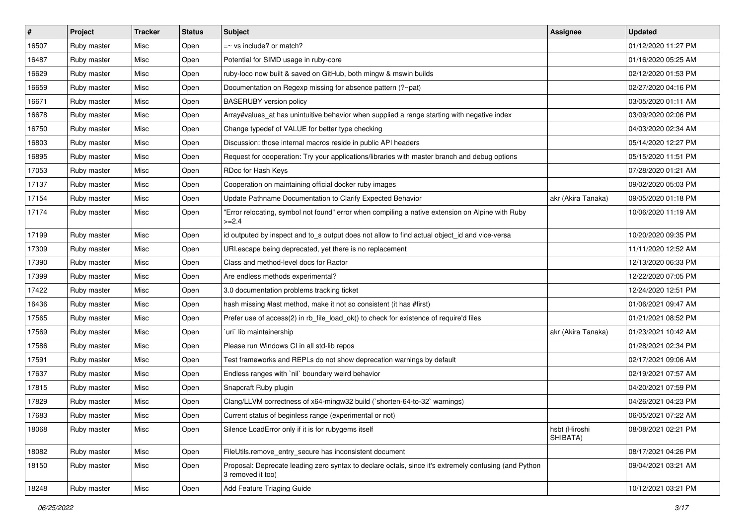| #     | Project     | <b>Tracker</b> | <b>Status</b> | Subject                                                                                                                    | <b>Assignee</b>           | <b>Updated</b>      |
|-------|-------------|----------------|---------------|----------------------------------------------------------------------------------------------------------------------------|---------------------------|---------------------|
| 16507 | Ruby master | Misc           | Open          | $=$ vs include? or match?                                                                                                  |                           | 01/12/2020 11:27 PM |
| 16487 | Ruby master | Misc           | Open          | Potential for SIMD usage in ruby-core                                                                                      |                           | 01/16/2020 05:25 AM |
| 16629 | Ruby master | Misc           | Open          | ruby-loco now built & saved on GitHub, both mingw & mswin builds                                                           |                           | 02/12/2020 01:53 PM |
| 16659 | Ruby master | Misc           | Open          | Documentation on Regexp missing for absence pattern (?~pat)                                                                |                           | 02/27/2020 04:16 PM |
| 16671 | Ruby master | Misc           | Open          | <b>BASERUBY</b> version policy                                                                                             |                           | 03/05/2020 01:11 AM |
| 16678 | Ruby master | Misc           | Open          | Array#values_at has unintuitive behavior when supplied a range starting with negative index                                |                           | 03/09/2020 02:06 PM |
| 16750 | Ruby master | Misc           | Open          | Change typedef of VALUE for better type checking                                                                           |                           | 04/03/2020 02:34 AM |
| 16803 | Ruby master | Misc           | Open          | Discussion: those internal macros reside in public API headers                                                             |                           | 05/14/2020 12:27 PM |
| 16895 | Ruby master | Misc           | Open          | Request for cooperation: Try your applications/libraries with master branch and debug options                              |                           | 05/15/2020 11:51 PM |
| 17053 | Ruby master | Misc           | Open          | RDoc for Hash Keys                                                                                                         |                           | 07/28/2020 01:21 AM |
| 17137 | Ruby master | Misc           | Open          | Cooperation on maintaining official docker ruby images                                                                     |                           | 09/02/2020 05:03 PM |
| 17154 | Ruby master | Misc           | Open          | Update Pathname Documentation to Clarify Expected Behavior                                                                 | akr (Akira Tanaka)        | 09/05/2020 01:18 PM |
| 17174 | Ruby master | Misc           | Open          | "Error relocating, symbol not found" error when compiling a native extension on Alpine with Ruby<br>$>=2.4$                |                           | 10/06/2020 11:19 AM |
| 17199 | Ruby master | Misc           | Open          | id outputed by inspect and to_s output does not allow to find actual object_id and vice-versa                              |                           | 10/20/2020 09:35 PM |
| 17309 | Ruby master | Misc           | Open          | URI escape being deprecated, yet there is no replacement                                                                   |                           | 11/11/2020 12:52 AM |
| 17390 | Ruby master | Misc           | Open          | Class and method-level docs for Ractor                                                                                     |                           | 12/13/2020 06:33 PM |
| 17399 | Ruby master | Misc           | Open          | Are endless methods experimental?                                                                                          |                           | 12/22/2020 07:05 PM |
| 17422 | Ruby master | Misc           | Open          | 3.0 documentation problems tracking ticket                                                                                 |                           | 12/24/2020 12:51 PM |
| 16436 | Ruby master | Misc           | Open          | hash missing #last method, make it not so consistent (it has #first)                                                       |                           | 01/06/2021 09:47 AM |
| 17565 | Ruby master | Misc           | Open          | Prefer use of access(2) in rb_file_load_ok() to check for existence of require'd files                                     |                           | 01/21/2021 08:52 PM |
| 17569 | Ruby master | Misc           | Open          | uri lib maintainership                                                                                                     | akr (Akira Tanaka)        | 01/23/2021 10:42 AM |
| 17586 | Ruby master | Misc           | Open          | Please run Windows CI in all std-lib repos                                                                                 |                           | 01/28/2021 02:34 PM |
| 17591 | Ruby master | Misc           | Open          | Test frameworks and REPLs do not show deprecation warnings by default                                                      |                           | 02/17/2021 09:06 AM |
| 17637 | Ruby master | Misc           | Open          | Endless ranges with 'nil' boundary weird behavior                                                                          |                           | 02/19/2021 07:57 AM |
| 17815 | Ruby master | Misc           | Open          | Snapcraft Ruby plugin                                                                                                      |                           | 04/20/2021 07:59 PM |
| 17829 | Ruby master | Misc           | Open          | Clang/LLVM correctness of x64-mingw32 build (`shorten-64-to-32` warnings)                                                  |                           | 04/26/2021 04:23 PM |
| 17683 | Ruby master | Misc           | Open          | Current status of beginless range (experimental or not)                                                                    |                           | 06/05/2021 07:22 AM |
| 18068 | Ruby master | Misc           | Open          | Silence LoadError only if it is for rubygems itself                                                                        | hsbt (Hiroshi<br>SHIBATA) | 08/08/2021 02:21 PM |
| 18082 | Ruby master | Misc           | Open          | FileUtils.remove_entry_secure has inconsistent document                                                                    |                           | 08/17/2021 04:26 PM |
| 18150 | Ruby master | Misc           | Open          | Proposal: Deprecate leading zero syntax to declare octals, since it's extremely confusing (and Python<br>3 removed it too) |                           | 09/04/2021 03:21 AM |
| 18248 | Ruby master | Misc           | Open          | Add Feature Triaging Guide                                                                                                 |                           | 10/12/2021 03:21 PM |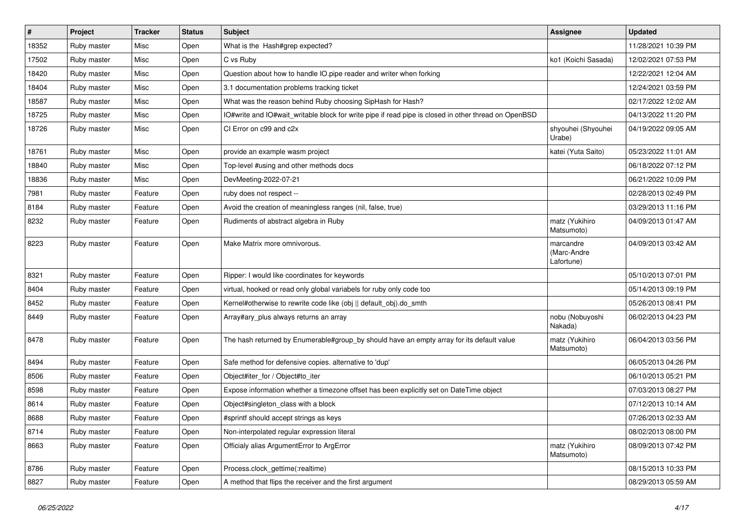| $\vert$ # | Project     | <b>Tracker</b> | <b>Status</b> | Subject                                                                                              | Assignee                               | <b>Updated</b>      |
|-----------|-------------|----------------|---------------|------------------------------------------------------------------------------------------------------|----------------------------------------|---------------------|
| 18352     | Ruby master | Misc           | Open          | What is the Hash#grep expected?                                                                      |                                        | 11/28/2021 10:39 PM |
| 17502     | Ruby master | Misc           | Open          | C vs Ruby                                                                                            | ko1 (Koichi Sasada)                    | 12/02/2021 07:53 PM |
| 18420     | Ruby master | Misc           | Open          | Question about how to handle IO.pipe reader and writer when forking                                  |                                        | 12/22/2021 12:04 AM |
| 18404     | Ruby master | Misc           | Open          | 3.1 documentation problems tracking ticket                                                           |                                        | 12/24/2021 03:59 PM |
| 18587     | Ruby master | Misc           | Open          | What was the reason behind Ruby choosing SipHash for Hash?                                           |                                        | 02/17/2022 12:02 AM |
| 18725     | Ruby master | Misc           | Open          | IO#write and IO#wait_writable block for write pipe if read pipe is closed in other thread on OpenBSD |                                        | 04/13/2022 11:20 PM |
| 18726     | Ruby master | Misc           | Open          | CI Error on c99 and c2x                                                                              | shyouhei (Shyouhei<br>Urabe)           | 04/19/2022 09:05 AM |
| 18761     | Ruby master | Misc           | Open          | provide an example wasm project                                                                      | katei (Yuta Saito)                     | 05/23/2022 11:01 AM |
| 18840     | Ruby master | Misc           | Open          | Top-level #using and other methods docs                                                              |                                        | 06/18/2022 07:12 PM |
| 18836     | Ruby master | Misc           | Open          | DevMeeting-2022-07-21                                                                                |                                        | 06/21/2022 10:09 PM |
| 7981      | Ruby master | Feature        | Open          | ruby does not respect --                                                                             |                                        | 02/28/2013 02:49 PM |
| 8184      | Ruby master | Feature        | Open          | Avoid the creation of meaningless ranges (nil, false, true)                                          |                                        | 03/29/2013 11:16 PM |
| 8232      | Ruby master | Feature        | Open          | Rudiments of abstract algebra in Ruby                                                                | matz (Yukihiro<br>Matsumoto)           | 04/09/2013 01:47 AM |
| 8223      | Ruby master | Feature        | Open          | Make Matrix more omnivorous.                                                                         | marcandre<br>(Marc-Andre<br>Lafortune) | 04/09/2013 03:42 AM |
| 8321      | Ruby master | Feature        | Open          | Ripper: I would like coordinates for keywords                                                        |                                        | 05/10/2013 07:01 PM |
| 8404      | Ruby master | Feature        | Open          | virtual, hooked or read only global variabels for ruby only code too                                 |                                        | 05/14/2013 09:19 PM |
| 8452      | Ruby master | Feature        | Open          | Kernel#otherwise to rewrite code like (obj    default_obj).do_smth                                   |                                        | 05/26/2013 08:41 PM |
| 8449      | Ruby master | Feature        | Open          | Array#ary_plus always returns an array                                                               | nobu (Nobuyoshi<br>Nakada)             | 06/02/2013 04:23 PM |
| 8478      | Ruby master | Feature        | Open          | The hash returned by Enumerable#group_by should have an empty array for its default value            | matz (Yukihiro<br>Matsumoto)           | 06/04/2013 03:56 PM |
| 8494      | Ruby master | Feature        | Open          | Safe method for defensive copies. alternative to 'dup'                                               |                                        | 06/05/2013 04:26 PM |
| 8506      | Ruby master | Feature        | Open          | Object#iter_for / Object#to_iter                                                                     |                                        | 06/10/2013 05:21 PM |
| 8598      | Ruby master | Feature        | Open          | Expose information whether a timezone offset has been explicitly set on DateTime object              |                                        | 07/03/2013 08:27 PM |
| 8614      | Ruby master | Feature        | Open          | Object#singleton_class with a block                                                                  |                                        | 07/12/2013 10:14 AM |
| 8688      | Ruby master | Feature        | Open          | #sprintf should accept strings as keys                                                               |                                        | 07/26/2013 02:33 AM |
| 8714      | Ruby master | Feature        | Open          | Non-interpolated regular expression literal                                                          |                                        | 08/02/2013 08:00 PM |
| 8663      | Ruby master | Feature        | Open          | Officialy alias ArgumentError to ArgError                                                            | matz (Yukihiro<br>Matsumoto)           | 08/09/2013 07:42 PM |
| 8786      | Ruby master | Feature        | Open          | Process.clock_gettime(:realtime)                                                                     |                                        | 08/15/2013 10:33 PM |
| 8827      | Ruby master | Feature        | Open          | A method that flips the receiver and the first argument                                              |                                        | 08/29/2013 05:59 AM |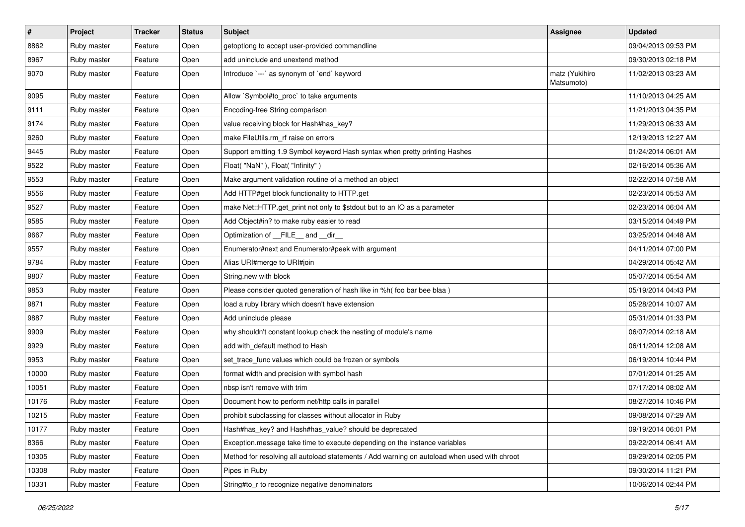| $\pmb{\#}$ | Project     | <b>Tracker</b> | <b>Status</b> | <b>Subject</b>                                                                               | <b>Assignee</b>              | <b>Updated</b>      |
|------------|-------------|----------------|---------------|----------------------------------------------------------------------------------------------|------------------------------|---------------------|
| 8862       | Ruby master | Feature        | Open          | getoptlong to accept user-provided commandline                                               |                              | 09/04/2013 09:53 PM |
| 8967       | Ruby master | Feature        | Open          | add uninclude and unextend method                                                            |                              | 09/30/2013 02:18 PM |
| 9070       | Ruby master | Feature        | Open          | Introduce `---` as synonym of `end` keyword                                                  | matz (Yukihiro<br>Matsumoto) | 11/02/2013 03:23 AM |
| 9095       | Ruby master | Feature        | Open          | Allow `Symbol#to_proc` to take arguments                                                     |                              | 11/10/2013 04:25 AM |
| 9111       | Ruby master | Feature        | Open          | Encoding-free String comparison                                                              |                              | 11/21/2013 04:35 PM |
| 9174       | Ruby master | Feature        | Open          | value receiving block for Hash#has_key?                                                      |                              | 11/29/2013 06:33 AM |
| 9260       | Ruby master | Feature        | Open          | make FileUtils.rm_rf raise on errors                                                         |                              | 12/19/2013 12:27 AM |
| 9445       | Ruby master | Feature        | Open          | Support emitting 1.9 Symbol keyword Hash syntax when pretty printing Hashes                  |                              | 01/24/2014 06:01 AM |
| 9522       | Ruby master | Feature        | Open          | Float("NaN"), Float("Infinity")                                                              |                              | 02/16/2014 05:36 AM |
| 9553       | Ruby master | Feature        | Open          | Make argument validation routine of a method an object                                       |                              | 02/22/2014 07:58 AM |
| 9556       | Ruby master | Feature        | Open          | Add HTTP#get block functionality to HTTP.get                                                 |                              | 02/23/2014 05:53 AM |
| 9527       | Ruby master | Feature        | Open          | make Net::HTTP.get_print not only to \$stdout but to an IO as a parameter                    |                              | 02/23/2014 06:04 AM |
| 9585       | Ruby master | Feature        | Open          | Add Object#in? to make ruby easier to read                                                   |                              | 03/15/2014 04:49 PM |
| 9667       | Ruby master | Feature        | Open          | Optimization of FILE_and _dir                                                                |                              | 03/25/2014 04:48 AM |
| 9557       | Ruby master | Feature        | Open          | Enumerator#next and Enumerator#peek with argument                                            |                              | 04/11/2014 07:00 PM |
| 9784       | Ruby master | Feature        | Open          | Alias URI#merge to URI#join                                                                  |                              | 04/29/2014 05:42 AM |
| 9807       | Ruby master | Feature        | Open          | String.new with block                                                                        |                              | 05/07/2014 05:54 AM |
| 9853       | Ruby master | Feature        | Open          | Please consider quoted generation of hash like in %h( foo bar bee blaa )                     |                              | 05/19/2014 04:43 PM |
| 9871       | Ruby master | Feature        | Open          | load a ruby library which doesn't have extension                                             |                              | 05/28/2014 10:07 AM |
| 9887       | Ruby master | Feature        | Open          | Add uninclude please                                                                         |                              | 05/31/2014 01:33 PM |
| 9909       | Ruby master | Feature        | Open          | why shouldn't constant lookup check the nesting of module's name                             |                              | 06/07/2014 02:18 AM |
| 9929       | Ruby master | Feature        | Open          | add with_default method to Hash                                                              |                              | 06/11/2014 12:08 AM |
| 9953       | Ruby master | Feature        | Open          | set_trace_func values which could be frozen or symbols                                       |                              | 06/19/2014 10:44 PM |
| 10000      | Ruby master | Feature        | Open          | format width and precision with symbol hash                                                  |                              | 07/01/2014 01:25 AM |
| 10051      | Ruby master | Feature        | Open          | nbsp isn't remove with trim                                                                  |                              | 07/17/2014 08:02 AM |
| 10176      | Ruby master | Feature        | Open          | Document how to perform net/http calls in parallel                                           |                              | 08/27/2014 10:46 PM |
| 10215      | Ruby master | Feature        | Open          | prohibit subclassing for classes without allocator in Ruby                                   |                              | 09/08/2014 07:29 AM |
| 10177      | Ruby master | Feature        | Open          | Hash#has_key? and Hash#has_value? should be deprecated                                       |                              | 09/19/2014 06:01 PM |
| 8366       | Ruby master | Feature        | Open          | Exception.message take time to execute depending on the instance variables                   |                              | 09/22/2014 06:41 AM |
| 10305      | Ruby master | Feature        | Open          | Method for resolving all autoload statements / Add warning on autoload when used with chroot |                              | 09/29/2014 02:05 PM |
| 10308      | Ruby master | Feature        | Open          | Pipes in Ruby                                                                                |                              | 09/30/2014 11:21 PM |
| 10331      | Ruby master | Feature        | Open          | String#to_r to recognize negative denominators                                               |                              | 10/06/2014 02:44 PM |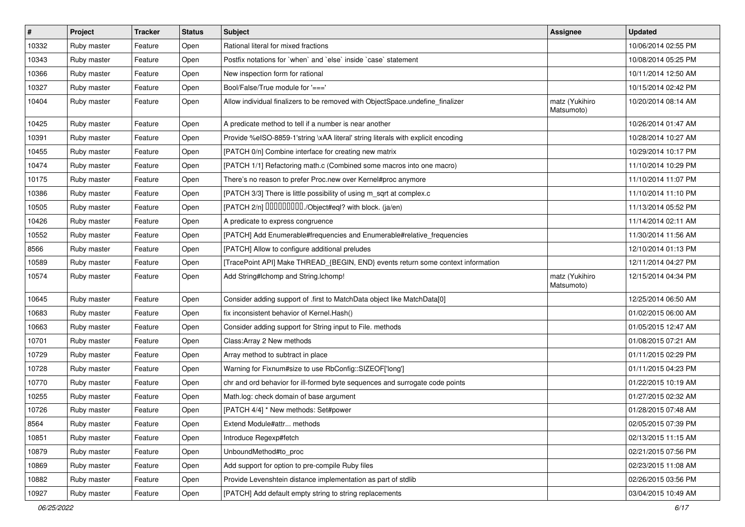| $\vert$ # | Project     | <b>Tracker</b> | <b>Status</b> | Subject                                                                          | Assignee                     | <b>Updated</b>      |
|-----------|-------------|----------------|---------------|----------------------------------------------------------------------------------|------------------------------|---------------------|
| 10332     | Ruby master | Feature        | Open          | Rational literal for mixed fractions                                             |                              | 10/06/2014 02:55 PM |
| 10343     | Ruby master | Feature        | Open          | Postfix notations for 'when' and 'else' inside 'case' statement                  |                              | 10/08/2014 05:25 PM |
| 10366     | Ruby master | Feature        | Open          | New inspection form for rational                                                 |                              | 10/11/2014 12:50 AM |
| 10327     | Ruby master | Feature        | Open          | Bool/False/True module for '==='                                                 |                              | 10/15/2014 02:42 PM |
| 10404     | Ruby master | Feature        | Open          | Allow individual finalizers to be removed with ObjectSpace.undefine_finalizer    | matz (Yukihiro<br>Matsumoto) | 10/20/2014 08:14 AM |
| 10425     | Ruby master | Feature        | Open          | A predicate method to tell if a number is near another                           |                              | 10/26/2014 01:47 AM |
| 10391     | Ruby master | Feature        | Open          | Provide %eISO-8859-1'string \xAA literal' string literals with explicit encoding |                              | 10/28/2014 10:27 AM |
| 10455     | Ruby master | Feature        | Open          | [PATCH 0/n] Combine interface for creating new matrix                            |                              | 10/29/2014 10:17 PM |
| 10474     | Ruby master | Feature        | Open          | [PATCH 1/1] Refactoring math.c (Combined some macros into one macro)             |                              | 11/10/2014 10:29 PM |
| 10175     | Ruby master | Feature        | Open          | There's no reason to prefer Proc.new over Kernel#proc anymore                    |                              | 11/10/2014 11:07 PM |
| 10386     | Ruby master | Feature        | Open          | [PATCH 3/3] There is little possibility of using m_sqrt at complex.c             |                              | 11/10/2014 11:10 PM |
| 10505     | Ruby master | Feature        | Open          | [PATCH 2/n] DDDDDDDD./Object#eql? with block. (ja/en)                            |                              | 11/13/2014 05:52 PM |
| 10426     | Ruby master | Feature        | Open          | A predicate to express congruence                                                |                              | 11/14/2014 02:11 AM |
| 10552     | Ruby master | Feature        | Open          | [PATCH] Add Enumerable#frequencies and Enumerable#relative_frequencies           |                              | 11/30/2014 11:56 AM |
| 8566      | Ruby master | Feature        | Open          | [PATCH] Allow to configure additional preludes                                   |                              | 12/10/2014 01:13 PM |
| 10589     | Ruby master | Feature        | Open          | [TracePoint API] Make THREAD_{BEGIN, END} events return some context information |                              | 12/11/2014 04:27 PM |
| 10574     | Ruby master | Feature        | Open          | Add String#Ichomp and String.Ichomp!                                             | matz (Yukihiro<br>Matsumoto) | 12/15/2014 04:34 PM |
| 10645     | Ruby master | Feature        | Open          | Consider adding support of .first to MatchData object like MatchData[0]          |                              | 12/25/2014 06:50 AM |
| 10683     | Ruby master | Feature        | Open          | fix inconsistent behavior of Kernel.Hash()                                       |                              | 01/02/2015 06:00 AM |
| 10663     | Ruby master | Feature        | Open          | Consider adding support for String input to File. methods                        |                              | 01/05/2015 12:47 AM |
| 10701     | Ruby master | Feature        | Open          | Class: Array 2 New methods                                                       |                              | 01/08/2015 07:21 AM |
| 10729     | Ruby master | Feature        | Open          | Array method to subtract in place                                                |                              | 01/11/2015 02:29 PM |
| 10728     | Ruby master | Feature        | Open          | Warning for Fixnum#size to use RbConfig::SIZEOF['long']                          |                              | 01/11/2015 04:23 PM |
| 10770     | Ruby master | Feature        | Open          | chr and ord behavior for ill-formed byte sequences and surrogate code points     |                              | 01/22/2015 10:19 AM |
| 10255     | Ruby master | Feature        | Open          | Math.log: check domain of base argument                                          |                              | 01/27/2015 02:32 AM |
| 10726     | Ruby master | Feature        | Open          | [PATCH 4/4] * New methods: Set#power                                             |                              | 01/28/2015 07:48 AM |
| 8564      | Ruby master | Feature        | Open          | Extend Module#attr methods                                                       |                              | 02/05/2015 07:39 PM |
| 10851     | Ruby master | Feature        | Open          | Introduce Regexp#fetch                                                           |                              | 02/13/2015 11:15 AM |
| 10879     | Ruby master | Feature        | Open          | UnboundMethod#to_proc                                                            |                              | 02/21/2015 07:56 PM |
| 10869     | Ruby master | Feature        | Open          | Add support for option to pre-compile Ruby files                                 |                              | 02/23/2015 11:08 AM |
| 10882     | Ruby master | Feature        | Open          | Provide Levenshtein distance implementation as part of stdlib                    |                              | 02/26/2015 03:56 PM |
| 10927     | Ruby master | Feature        | Open          | [PATCH] Add default empty string to string replacements                          |                              | 03/04/2015 10:49 AM |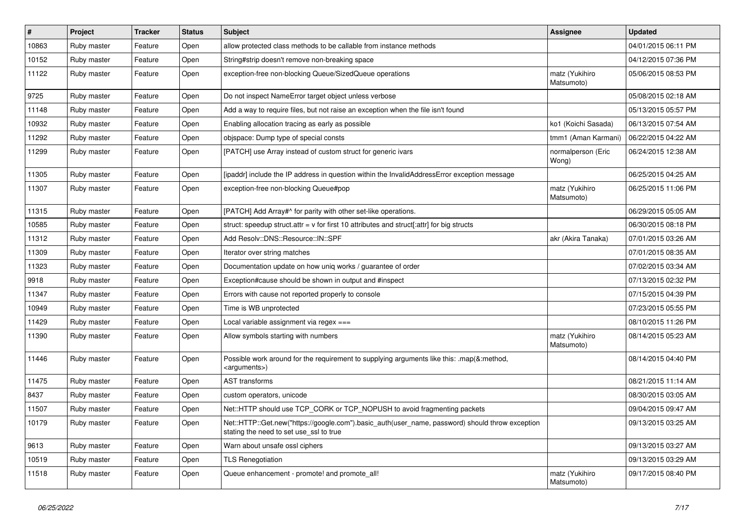| $\pmb{\#}$ | Project     | <b>Tracker</b> | <b>Status</b> | <b>Subject</b>                                                                                                                             | Assignee                     | <b>Updated</b>      |
|------------|-------------|----------------|---------------|--------------------------------------------------------------------------------------------------------------------------------------------|------------------------------|---------------------|
| 10863      | Ruby master | Feature        | Open          | allow protected class methods to be callable from instance methods                                                                         |                              | 04/01/2015 06:11 PM |
| 10152      | Ruby master | Feature        | Open          | String#strip doesn't remove non-breaking space                                                                                             |                              | 04/12/2015 07:36 PM |
| 11122      | Ruby master | Feature        | Open          | exception-free non-blocking Queue/SizedQueue operations                                                                                    | matz (Yukihiro<br>Matsumoto) | 05/06/2015 08:53 PM |
| 9725       | Ruby master | Feature        | Open          | Do not inspect NameError target object unless verbose                                                                                      |                              | 05/08/2015 02:18 AM |
| 11148      | Ruby master | Feature        | Open          | Add a way to require files, but not raise an exception when the file isn't found                                                           |                              | 05/13/2015 05:57 PM |
| 10932      | Ruby master | Feature        | Open          | Enabling allocation tracing as early as possible                                                                                           | ko1 (Koichi Sasada)          | 06/13/2015 07:54 AM |
| 11292      | Ruby master | Feature        | Open          | obispace: Dump type of special consts                                                                                                      | tmm1 (Aman Karmani)          | 06/22/2015 04:22 AM |
| 11299      | Ruby master | Feature        | Open          | [PATCH] use Array instead of custom struct for generic ivars                                                                               | normalperson (Eric<br>Wong)  | 06/24/2015 12:38 AM |
| 11305      | Ruby master | Feature        | Open          | [ipaddr] include the IP address in question within the InvalidAddressError exception message                                               |                              | 06/25/2015 04:25 AM |
| 11307      | Ruby master | Feature        | Open          | exception-free non-blocking Queue#pop                                                                                                      | matz (Yukihiro<br>Matsumoto) | 06/25/2015 11:06 PM |
| 11315      | Ruby master | Feature        | Open          | [PATCH] Add Array#^ for parity with other set-like operations.                                                                             |                              | 06/29/2015 05:05 AM |
| 10585      | Ruby master | Feature        | Open          | struct: speedup struct.attr = $v$ for first 10 attributes and struct[:attr] for big structs                                                |                              | 06/30/2015 08:18 PM |
| 11312      | Ruby master | Feature        | Open          | Add Resolv::DNS::Resource::IN::SPF                                                                                                         | akr (Akira Tanaka)           | 07/01/2015 03:26 AM |
| 11309      | Ruby master | Feature        | Open          | Iterator over string matches                                                                                                               |                              | 07/01/2015 08:35 AM |
| 11323      | Ruby master | Feature        | Open          | Documentation update on how uniq works / guarantee of order                                                                                |                              | 07/02/2015 03:34 AM |
| 9918       | Ruby master | Feature        | Open          | Exception#cause should be shown in output and #inspect                                                                                     |                              | 07/13/2015 02:32 PM |
| 11347      | Ruby master | Feature        | Open          | Errors with cause not reported properly to console                                                                                         |                              | 07/15/2015 04:39 PM |
| 10949      | Ruby master | Feature        | Open          | Time is WB unprotected                                                                                                                     |                              | 07/23/2015 05:55 PM |
| 11429      | Ruby master | Feature        | Open          | Local variable assignment via regex ===                                                                                                    |                              | 08/10/2015 11:26 PM |
| 11390      | Ruby master | Feature        | Open          | Allow symbols starting with numbers                                                                                                        | matz (Yukihiro<br>Matsumoto) | 08/14/2015 05:23 AM |
| 11446      | Ruby master | Feature        | Open          | Possible work around for the requirement to supplying arguments like this: .map(&:method,<br><arguments>)</arguments>                      |                              | 08/14/2015 04:40 PM |
| 11475      | Ruby master | Feature        | Open          | <b>AST</b> transforms                                                                                                                      |                              | 08/21/2015 11:14 AM |
| 8437       | Ruby master | Feature        | Open          | custom operators, unicode                                                                                                                  |                              | 08/30/2015 03:05 AM |
| 11507      | Ruby master | Feature        | Open          | Net::HTTP should use TCP_CORK or TCP_NOPUSH to avoid fragmenting packets                                                                   |                              | 09/04/2015 09:47 AM |
| 10179      | Ruby master | Feature        | Open          | Net::HTTP::Get.new("https://google.com").basic_auth(user_name, password) should throw exception<br>stating the need to set use_ssl to true |                              | 09/13/2015 03:25 AM |
| 9613       | Ruby master | Feature        | Open          | Warn about unsafe ossl ciphers                                                                                                             |                              | 09/13/2015 03:27 AM |
| 10519      | Ruby master | Feature        | Open          | <b>TLS Renegotiation</b>                                                                                                                   |                              | 09/13/2015 03:29 AM |
| 11518      | Ruby master | Feature        | Open          | Queue enhancement - promote! and promote_all!                                                                                              | matz (Yukihiro<br>Matsumoto) | 09/17/2015 08:40 PM |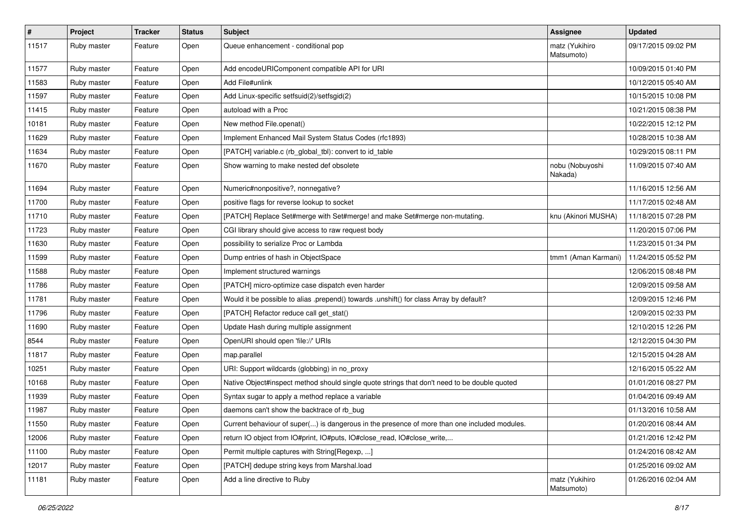| $\vert$ # | Project     | <b>Tracker</b> | <b>Status</b> | <b>Subject</b>                                                                               | Assignee                     | <b>Updated</b>      |
|-----------|-------------|----------------|---------------|----------------------------------------------------------------------------------------------|------------------------------|---------------------|
| 11517     | Ruby master | Feature        | Open          | Queue enhancement - conditional pop                                                          | matz (Yukihiro<br>Matsumoto) | 09/17/2015 09:02 PM |
| 11577     | Ruby master | Feature        | Open          | Add encodeURIComponent compatible API for URI                                                |                              | 10/09/2015 01:40 PM |
| 11583     | Ruby master | Feature        | Open          | Add File#unlink                                                                              |                              | 10/12/2015 05:40 AM |
| 11597     | Ruby master | Feature        | Open          | Add Linux-specific setfsuid(2)/setfsgid(2)                                                   |                              | 10/15/2015 10:08 PM |
| 11415     | Ruby master | Feature        | Open          | autoload with a Proc                                                                         |                              | 10/21/2015 08:38 PM |
| 10181     | Ruby master | Feature        | Open          | New method File.openat()                                                                     |                              | 10/22/2015 12:12 PM |
| 11629     | Ruby master | Feature        | Open          | Implement Enhanced Mail System Status Codes (rfc1893)                                        |                              | 10/28/2015 10:38 AM |
| 11634     | Ruby master | Feature        | Open          | [PATCH] variable.c (rb_global_tbl): convert to id_table                                      |                              | 10/29/2015 08:11 PM |
| 11670     | Ruby master | Feature        | Open          | Show warning to make nested def obsolete                                                     | nobu (Nobuyoshi<br>Nakada)   | 11/09/2015 07:40 AM |
| 11694     | Ruby master | Feature        | Open          | Numeric#nonpositive?, nonnegative?                                                           |                              | 11/16/2015 12:56 AM |
| 11700     | Ruby master | Feature        | Open          | positive flags for reverse lookup to socket                                                  |                              | 11/17/2015 02:48 AM |
| 11710     | Ruby master | Feature        | Open          | [PATCH] Replace Set#merge with Set#merge! and make Set#merge non-mutating.                   | knu (Akinori MUSHA)          | 11/18/2015 07:28 PM |
| 11723     | Ruby master | Feature        | Open          | CGI library should give access to raw request body                                           |                              | 11/20/2015 07:06 PM |
| 11630     | Ruby master | Feature        | Open          | possibility to serialize Proc or Lambda                                                      |                              | 11/23/2015 01:34 PM |
| 11599     | Ruby master | Feature        | Open          | Dump entries of hash in ObjectSpace                                                          | tmm1 (Aman Karmani)          | 11/24/2015 05:52 PM |
| 11588     | Ruby master | Feature        | Open          | Implement structured warnings                                                                |                              | 12/06/2015 08:48 PM |
| 11786     | Ruby master | Feature        | Open          | [PATCH] micro-optimize case dispatch even harder                                             |                              | 12/09/2015 09:58 AM |
| 11781     | Ruby master | Feature        | Open          | Would it be possible to alias .prepend() towards .unshift() for class Array by default?      |                              | 12/09/2015 12:46 PM |
| 11796     | Ruby master | Feature        | Open          | [PATCH] Refactor reduce call get_stat()                                                      |                              | 12/09/2015 02:33 PM |
| 11690     | Ruby master | Feature        | Open          | Update Hash during multiple assignment                                                       |                              | 12/10/2015 12:26 PM |
| 8544      | Ruby master | Feature        | Open          | OpenURI should open 'file://' URIs                                                           |                              | 12/12/2015 04:30 PM |
| 11817     | Ruby master | Feature        | Open          | map.parallel                                                                                 |                              | 12/15/2015 04:28 AM |
| 10251     | Ruby master | Feature        | Open          | URI: Support wildcards (globbing) in no_proxy                                                |                              | 12/16/2015 05:22 AM |
| 10168     | Ruby master | Feature        | Open          | Native Object#inspect method should single quote strings that don't need to be double quoted |                              | 01/01/2016 08:27 PM |
| 11939     | Ruby master | Feature        | Open          | Syntax sugar to apply a method replace a variable                                            |                              | 01/04/2016 09:49 AM |
| 11987     | Ruby master | Feature        | Open          | daemons can't show the backtrace of rb_bug                                                   |                              | 01/13/2016 10:58 AM |
| 11550     | Ruby master | Feature        | Open          | Current behaviour of super() is dangerous in the presence of more than one included modules. |                              | 01/20/2016 08:44 AM |
| 12006     | Ruby master | Feature        | Open          | return IO object from IO#print, IO#puts, IO#close_read, IO#close_write,                      |                              | 01/21/2016 12:42 PM |
| 11100     | Ruby master | Feature        | Open          | Permit multiple captures with String [Regexp, ]                                              |                              | 01/24/2016 08:42 AM |
| 12017     | Ruby master | Feature        | Open          | [PATCH] dedupe string keys from Marshal.load                                                 |                              | 01/25/2016 09:02 AM |
| 11181     | Ruby master | Feature        | Open          | Add a line directive to Ruby                                                                 | matz (Yukihiro<br>Matsumoto) | 01/26/2016 02:04 AM |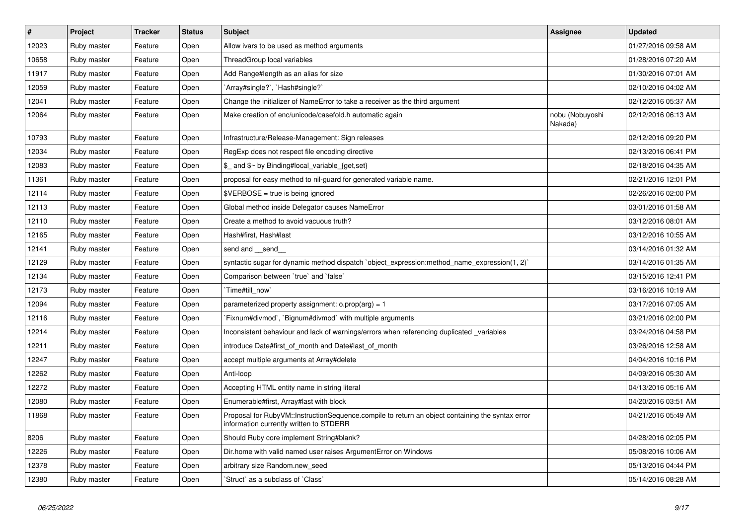| $\pmb{\#}$ | Project     | <b>Tracker</b> | <b>Status</b> | <b>Subject</b>                                                                                                                              | Assignee                   | <b>Updated</b>      |
|------------|-------------|----------------|---------------|---------------------------------------------------------------------------------------------------------------------------------------------|----------------------------|---------------------|
| 12023      | Ruby master | Feature        | Open          | Allow ivars to be used as method arguments                                                                                                  |                            | 01/27/2016 09:58 AM |
| 10658      | Ruby master | Feature        | Open          | ThreadGroup local variables                                                                                                                 |                            | 01/28/2016 07:20 AM |
| 11917      | Ruby master | Feature        | Open          | Add Range#length as an alias for size                                                                                                       |                            | 01/30/2016 07:01 AM |
| 12059      | Ruby master | Feature        | Open          | `Array#single?`, `Hash#single?`                                                                                                             |                            | 02/10/2016 04:02 AM |
| 12041      | Ruby master | Feature        | Open          | Change the initializer of NameError to take a receiver as the third argument                                                                |                            | 02/12/2016 05:37 AM |
| 12064      | Ruby master | Feature        | Open          | Make creation of enc/unicode/casefold.h automatic again                                                                                     | nobu (Nobuyoshi<br>Nakada) | 02/12/2016 06:13 AM |
| 10793      | Ruby master | Feature        | Open          | Infrastructure/Release-Management: Sign releases                                                                                            |                            | 02/12/2016 09:20 PM |
| 12034      | Ruby master | Feature        | Open          | RegExp does not respect file encoding directive                                                                                             |                            | 02/13/2016 06:41 PM |
| 12083      | Ruby master | Feature        | Open          | \$_ and \$~ by Binding#local_variable_{get,set}                                                                                             |                            | 02/18/2016 04:35 AM |
| 11361      | Ruby master | Feature        | Open          | proposal for easy method to nil-guard for generated variable name.                                                                          |                            | 02/21/2016 12:01 PM |
| 12114      | Ruby master | Feature        | Open          | \$VERBOSE = true is being ignored                                                                                                           |                            | 02/26/2016 02:00 PM |
| 12113      | Ruby master | Feature        | Open          | Global method inside Delegator causes NameError                                                                                             |                            | 03/01/2016 01:58 AM |
| 12110      | Ruby master | Feature        | Open          | Create a method to avoid vacuous truth?                                                                                                     |                            | 03/12/2016 08:01 AM |
| 12165      | Ruby master | Feature        | Open          | Hash#first, Hash#last                                                                                                                       |                            | 03/12/2016 10:55 AM |
| 12141      | Ruby master | Feature        | Open          | send and __send_                                                                                                                            |                            | 03/14/2016 01:32 AM |
| 12129      | Ruby master | Feature        | Open          | syntactic sugar for dynamic method dispatch `object_expression:method_name_expression(1, 2)`                                                |                            | 03/14/2016 01:35 AM |
| 12134      | Ruby master | Feature        | Open          | Comparison between 'true' and 'false'                                                                                                       |                            | 03/15/2016 12:41 PM |
| 12173      | Ruby master | Feature        | Open          | Time#till now                                                                                                                               |                            | 03/16/2016 10:19 AM |
| 12094      | Ruby master | Feature        | Open          | parameterized property assignment: $o.$ prop $(a \, g) = 1$                                                                                 |                            | 03/17/2016 07:05 AM |
| 12116      | Ruby master | Feature        | Open          | Fixnum#divmod`, `Bignum#divmod` with multiple arguments                                                                                     |                            | 03/21/2016 02:00 PM |
| 12214      | Ruby master | Feature        | Open          | Inconsistent behaviour and lack of warnings/errors when referencing duplicated _variables                                                   |                            | 03/24/2016 04:58 PM |
| 12211      | Ruby master | Feature        | Open          | introduce Date#first_of_month and Date#last_of_month                                                                                        |                            | 03/26/2016 12:58 AM |
| 12247      | Ruby master | Feature        | Open          | accept multiple arguments at Array#delete                                                                                                   |                            | 04/04/2016 10:16 PM |
| 12262      | Ruby master | Feature        | Open          | Anti-loop                                                                                                                                   |                            | 04/09/2016 05:30 AM |
| 12272      | Ruby master | Feature        | Open          | Accepting HTML entity name in string literal                                                                                                |                            | 04/13/2016 05:16 AM |
| 12080      | Ruby master | Feature        | Open          | Enumerable#first, Array#last with block                                                                                                     |                            | 04/20/2016 03:51 AM |
| 11868      | Ruby master | Feature        | Open          | Proposal for RubyVM::InstructionSequence.compile to return an object containing the syntax error<br>information currently written to STDERR |                            | 04/21/2016 05:49 AM |
| 8206       | Ruby master | Feature        | Open          | Should Ruby core implement String#blank?                                                                                                    |                            | 04/28/2016 02:05 PM |
| 12226      | Ruby master | Feature        | Open          | Dir.home with valid named user raises Argument Error on Windows                                                                             |                            | 05/08/2016 10:06 AM |
| 12378      | Ruby master | Feature        | Open          | arbitrary size Random.new seed                                                                                                              |                            | 05/13/2016 04:44 PM |
| 12380      | Ruby master | Feature        | Open          | 'Struct' as a subclass of 'Class'                                                                                                           |                            | 05/14/2016 08:28 AM |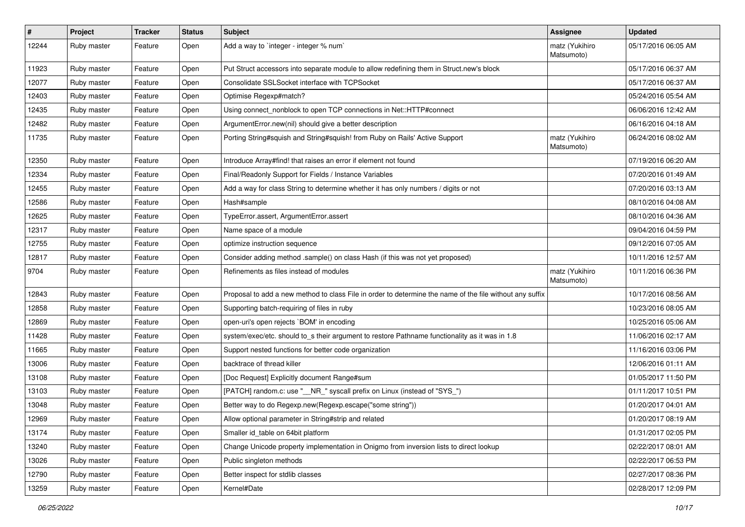| #     | Project     | <b>Tracker</b> | <b>Status</b> | Subject                                                                                                  | <b>Assignee</b>              | <b>Updated</b>      |
|-------|-------------|----------------|---------------|----------------------------------------------------------------------------------------------------------|------------------------------|---------------------|
| 12244 | Ruby master | Feature        | Open          | Add a way to 'integer - integer % num'                                                                   | matz (Yukihiro<br>Matsumoto) | 05/17/2016 06:05 AM |
| 11923 | Ruby master | Feature        | Open          | Put Struct accessors into separate module to allow redefining them in Struct.new's block                 |                              | 05/17/2016 06:37 AM |
| 12077 | Ruby master | Feature        | Open          | Consolidate SSLSocket interface with TCPSocket                                                           |                              | 05/17/2016 06:37 AM |
| 12403 | Ruby master | Feature        | Open          | Optimise Regexp#match?                                                                                   |                              | 05/24/2016 05:54 AM |
| 12435 | Ruby master | Feature        | Open          | Using connect_nonblock to open TCP connections in Net::HTTP#connect                                      |                              | 06/06/2016 12:42 AM |
| 12482 | Ruby master | Feature        | Open          | ArgumentError.new(nil) should give a better description                                                  |                              | 06/16/2016 04:18 AM |
| 11735 | Ruby master | Feature        | Open          | Porting String#squish and String#squish! from Ruby on Rails' Active Support                              | matz (Yukihiro<br>Matsumoto) | 06/24/2016 08:02 AM |
| 12350 | Ruby master | Feature        | Open          | Introduce Array#find! that raises an error if element not found                                          |                              | 07/19/2016 06:20 AM |
| 12334 | Ruby master | Feature        | Open          | Final/Readonly Support for Fields / Instance Variables                                                   |                              | 07/20/2016 01:49 AM |
| 12455 | Ruby master | Feature        | Open          | Add a way for class String to determine whether it has only numbers / digits or not                      |                              | 07/20/2016 03:13 AM |
| 12586 | Ruby master | Feature        | Open          | Hash#sample                                                                                              |                              | 08/10/2016 04:08 AM |
| 12625 | Ruby master | Feature        | Open          | TypeError.assert, ArgumentError.assert                                                                   |                              | 08/10/2016 04:36 AM |
| 12317 | Ruby master | Feature        | Open          | Name space of a module                                                                                   |                              | 09/04/2016 04:59 PM |
| 12755 | Ruby master | Feature        | Open          | optimize instruction sequence                                                                            |                              | 09/12/2016 07:05 AM |
| 12817 | Ruby master | Feature        | Open          | Consider adding method .sample() on class Hash (if this was not yet proposed)                            |                              | 10/11/2016 12:57 AM |
| 9704  | Ruby master | Feature        | Open          | Refinements as files instead of modules                                                                  | matz (Yukihiro<br>Matsumoto) | 10/11/2016 06:36 PM |
| 12843 | Ruby master | Feature        | Open          | Proposal to add a new method to class File in order to determine the name of the file without any suffix |                              | 10/17/2016 08:56 AM |
| 12858 | Ruby master | Feature        | Open          | Supporting batch-requiring of files in ruby                                                              |                              | 10/23/2016 08:05 AM |
| 12869 | Ruby master | Feature        | Open          | open-uri's open rejects `BOM' in encoding                                                                |                              | 10/25/2016 05:06 AM |
| 11428 | Ruby master | Feature        | Open          | system/exec/etc. should to_s their argument to restore Pathname functionality as it was in 1.8           |                              | 11/06/2016 02:17 AM |
| 11665 | Ruby master | Feature        | Open          | Support nested functions for better code organization                                                    |                              | 11/16/2016 03:06 PM |
| 13006 | Ruby master | Feature        | Open          | backtrace of thread killer                                                                               |                              | 12/06/2016 01:11 AM |
| 13108 | Ruby master | Feature        | Open          | [Doc Request] Explicitly document Range#sum                                                              |                              | 01/05/2017 11:50 PM |
| 13103 | Ruby master | Feature        | Open          | [PATCH] random.c: use "__NR_" syscall prefix on Linux (instead of "SYS_")                                |                              | 01/11/2017 10:51 PM |
| 13048 | Ruby master | Feature        | Open          | Better way to do Regexp.new(Regexp.escape("some string"))                                                |                              | 01/20/2017 04:01 AM |
| 12969 | Ruby master | Feature        | Open          | Allow optional parameter in String#strip and related                                                     |                              | 01/20/2017 08:19 AM |
| 13174 | Ruby master | Feature        | Open          | Smaller id table on 64bit platform                                                                       |                              | 01/31/2017 02:05 PM |
| 13240 | Ruby master | Feature        | Open          | Change Unicode property implementation in Onigmo from inversion lists to direct lookup                   |                              | 02/22/2017 08:01 AM |
| 13026 | Ruby master | Feature        | Open          | Public singleton methods                                                                                 |                              | 02/22/2017 06:53 PM |
| 12790 | Ruby master | Feature        | Open          | Better inspect for stdlib classes                                                                        |                              | 02/27/2017 08:36 PM |
| 13259 | Ruby master | Feature        | Open          | Kernel#Date                                                                                              |                              | 02/28/2017 12:09 PM |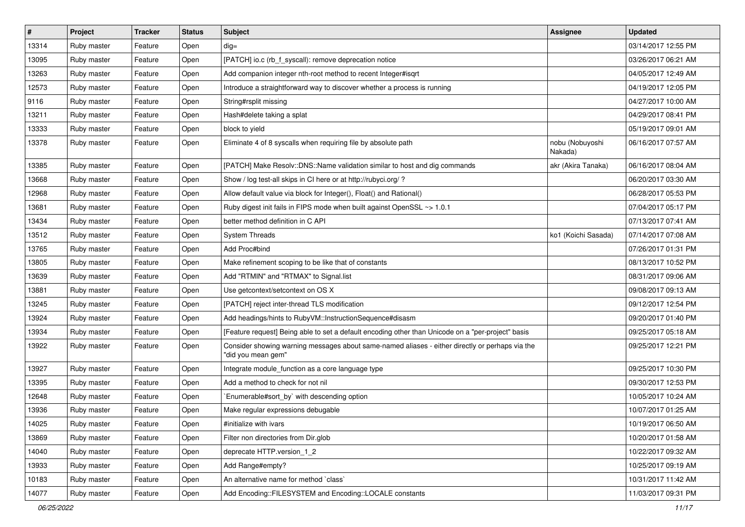| #     | Project     | <b>Tracker</b> | <b>Status</b> | Subject                                                                                                               | Assignee                   | <b>Updated</b>      |
|-------|-------------|----------------|---------------|-----------------------------------------------------------------------------------------------------------------------|----------------------------|---------------------|
| 13314 | Ruby master | Feature        | Open          | $dig =$                                                                                                               |                            | 03/14/2017 12:55 PM |
| 13095 | Ruby master | Feature        | Open          | [PATCH] io.c (rb_f_syscall): remove deprecation notice                                                                |                            | 03/26/2017 06:21 AM |
| 13263 | Ruby master | Feature        | Open          | Add companion integer nth-root method to recent Integer#isqrt                                                         |                            | 04/05/2017 12:49 AM |
| 12573 | Ruby master | Feature        | Open          | Introduce a straightforward way to discover whether a process is running                                              |                            | 04/19/2017 12:05 PM |
| 9116  | Ruby master | Feature        | Open          | String#rsplit missing                                                                                                 |                            | 04/27/2017 10:00 AM |
| 13211 | Ruby master | Feature        | Open          | Hash#delete taking a splat                                                                                            |                            | 04/29/2017 08:41 PM |
| 13333 | Ruby master | Feature        | Open          | block to yield                                                                                                        |                            | 05/19/2017 09:01 AM |
| 13378 | Ruby master | Feature        | Open          | Eliminate 4 of 8 syscalls when requiring file by absolute path                                                        | nobu (Nobuyoshi<br>Nakada) | 06/16/2017 07:57 AM |
| 13385 | Ruby master | Feature        | Open          | [PATCH] Make Resolv::DNS::Name validation similar to host and dig commands                                            | akr (Akira Tanaka)         | 06/16/2017 08:04 AM |
| 13668 | Ruby master | Feature        | Open          | Show / log test-all skips in CI here or at http://rubyci.org/?                                                        |                            | 06/20/2017 03:30 AM |
| 12968 | Ruby master | Feature        | Open          | Allow default value via block for Integer(), Float() and Rational()                                                   |                            | 06/28/2017 05:53 PM |
| 13681 | Ruby master | Feature        | Open          | Ruby digest init fails in FIPS mode when built against OpenSSL ~> 1.0.1                                               |                            | 07/04/2017 05:17 PM |
| 13434 | Ruby master | Feature        | Open          | better method definition in C API                                                                                     |                            | 07/13/2017 07:41 AM |
| 13512 | Ruby master | Feature        | Open          | <b>System Threads</b>                                                                                                 | ko1 (Koichi Sasada)        | 07/14/2017 07:08 AM |
| 13765 | Ruby master | Feature        | Open          | Add Proc#bind                                                                                                         |                            | 07/26/2017 01:31 PM |
| 13805 | Ruby master | Feature        | Open          | Make refinement scoping to be like that of constants                                                                  |                            | 08/13/2017 10:52 PM |
| 13639 | Ruby master | Feature        | Open          | Add "RTMIN" and "RTMAX" to Signal.list                                                                                |                            | 08/31/2017 09:06 AM |
| 13881 | Ruby master | Feature        | Open          | Use getcontext/setcontext on OS X                                                                                     |                            | 09/08/2017 09:13 AM |
| 13245 | Ruby master | Feature        | Open          | [PATCH] reject inter-thread TLS modification                                                                          |                            | 09/12/2017 12:54 PM |
| 13924 | Ruby master | Feature        | Open          | Add headings/hints to RubyVM::InstructionSequence#disasm                                                              |                            | 09/20/2017 01:40 PM |
| 13934 | Ruby master | Feature        | Open          | [Feature request] Being able to set a default encoding other than Unicode on a "per-project" basis                    |                            | 09/25/2017 05:18 AM |
| 13922 | Ruby master | Feature        | Open          | Consider showing warning messages about same-named aliases - either directly or perhaps via the<br>"did you mean gem" |                            | 09/25/2017 12:21 PM |
| 13927 | Ruby master | Feature        | Open          | Integrate module_function as a core language type                                                                     |                            | 09/25/2017 10:30 PM |
| 13395 | Ruby master | Feature        | Open          | Add a method to check for not nil                                                                                     |                            | 09/30/2017 12:53 PM |
| 12648 | Ruby master | Feature        | Open          | Enumerable#sort_by` with descending option                                                                            |                            | 10/05/2017 10:24 AM |
| 13936 | Ruby master | Feature        | Open          | Make regular expressions debugable                                                                                    |                            | 10/07/2017 01:25 AM |
| 14025 | Ruby master | Feature        | Open          | #initialize with ivars                                                                                                |                            | 10/19/2017 06:50 AM |
| 13869 | Ruby master | Feature        | Open          | Filter non directories from Dir.glob                                                                                  |                            | 10/20/2017 01:58 AM |
| 14040 | Ruby master | Feature        | Open          | deprecate HTTP.version_1_2                                                                                            |                            | 10/22/2017 09:32 AM |
| 13933 | Ruby master | Feature        | Open          | Add Range#empty?                                                                                                      |                            | 10/25/2017 09:19 AM |
| 10183 | Ruby master | Feature        | Open          | An alternative name for method `class`                                                                                |                            | 10/31/2017 11:42 AM |
| 14077 | Ruby master | Feature        | Open          | Add Encoding::FILESYSTEM and Encoding::LOCALE constants                                                               |                            | 11/03/2017 09:31 PM |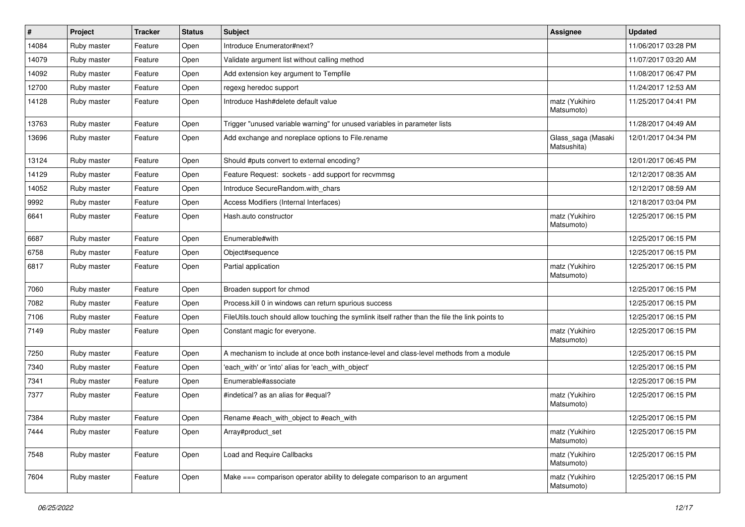| #     | Project     | <b>Tracker</b> | <b>Status</b> | <b>Subject</b>                                                                                   | <b>Assignee</b>                   | <b>Updated</b>      |
|-------|-------------|----------------|---------------|--------------------------------------------------------------------------------------------------|-----------------------------------|---------------------|
| 14084 | Ruby master | Feature        | Open          | Introduce Enumerator#next?                                                                       |                                   | 11/06/2017 03:28 PM |
| 14079 | Ruby master | Feature        | Open          | Validate argument list without calling method                                                    |                                   | 11/07/2017 03:20 AM |
| 14092 | Ruby master | Feature        | Open          | Add extension key argument to Tempfile                                                           |                                   | 11/08/2017 06:47 PM |
| 12700 | Ruby master | Feature        | Open          | regexg heredoc support                                                                           |                                   | 11/24/2017 12:53 AM |
| 14128 | Ruby master | Feature        | Open          | Introduce Hash#delete default value                                                              | matz (Yukihiro<br>Matsumoto)      | 11/25/2017 04:41 PM |
| 13763 | Ruby master | Feature        | Open          | Trigger "unused variable warning" for unused variables in parameter lists                        |                                   | 11/28/2017 04:49 AM |
| 13696 | Ruby master | Feature        | Open          | Add exchange and noreplace options to File.rename                                                | Glass_saga (Masaki<br>Matsushita) | 12/01/2017 04:34 PM |
| 13124 | Ruby master | Feature        | Open          | Should #puts convert to external encoding?                                                       |                                   | 12/01/2017 06:45 PM |
| 14129 | Ruby master | Feature        | Open          | Feature Request: sockets - add support for recvmmsg                                              |                                   | 12/12/2017 08:35 AM |
| 14052 | Ruby master | Feature        | Open          | Introduce SecureRandom.with_chars                                                                |                                   | 12/12/2017 08:59 AM |
| 9992  | Ruby master | Feature        | Open          | Access Modifiers (Internal Interfaces)                                                           |                                   | 12/18/2017 03:04 PM |
| 6641  | Ruby master | Feature        | Open          | Hash.auto constructor                                                                            | matz (Yukihiro<br>Matsumoto)      | 12/25/2017 06:15 PM |
| 6687  | Ruby master | Feature        | Open          | Enumerable#with                                                                                  |                                   | 12/25/2017 06:15 PM |
| 6758  | Ruby master | Feature        | Open          | Object#sequence                                                                                  |                                   | 12/25/2017 06:15 PM |
| 6817  | Ruby master | Feature        | Open          | Partial application                                                                              | matz (Yukihiro<br>Matsumoto)      | 12/25/2017 06:15 PM |
| 7060  | Ruby master | Feature        | Open          | Broaden support for chmod                                                                        |                                   | 12/25/2017 06:15 PM |
| 7082  | Ruby master | Feature        | Open          | Process. kill 0 in windows can return spurious success                                           |                                   | 12/25/2017 06:15 PM |
| 7106  | Ruby master | Feature        | Open          | FileUtils.touch should allow touching the symlink itself rather than the file the link points to |                                   | 12/25/2017 06:15 PM |
| 7149  | Ruby master | Feature        | Open          | Constant magic for everyone.                                                                     | matz (Yukihiro<br>Matsumoto)      | 12/25/2017 06:15 PM |
| 7250  | Ruby master | Feature        | Open          | A mechanism to include at once both instance-level and class-level methods from a module         |                                   | 12/25/2017 06:15 PM |
| 7340  | Ruby master | Feature        | Open          | 'each_with' or 'into' alias for 'each_with_object'                                               |                                   | 12/25/2017 06:15 PM |
| 7341  | Ruby master | Feature        | Open          | Enumerable#associate                                                                             |                                   | 12/25/2017 06:15 PM |
| 7377  | Ruby master | Feature        | Open          | #indetical? as an alias for #equal?                                                              | matz (Yukihiro<br>Matsumoto)      | 12/25/2017 06:15 PM |
| 7384  | Ruby master | Feature        | Open          | Rename #each with object to #each with                                                           |                                   | 12/25/2017 06:15 PM |
| 7444  | Ruby master | Feature        | Open          | Array#product_set                                                                                | matz (Yukihiro<br>Matsumoto)      | 12/25/2017 06:15 PM |
| 7548  | Ruby master | Feature        | Open          | Load and Require Callbacks                                                                       | matz (Yukihiro<br>Matsumoto)      | 12/25/2017 06:15 PM |
| 7604  | Ruby master | Feature        | Open          | Make === comparison operator ability to delegate comparison to an argument                       | matz (Yukihiro<br>Matsumoto)      | 12/25/2017 06:15 PM |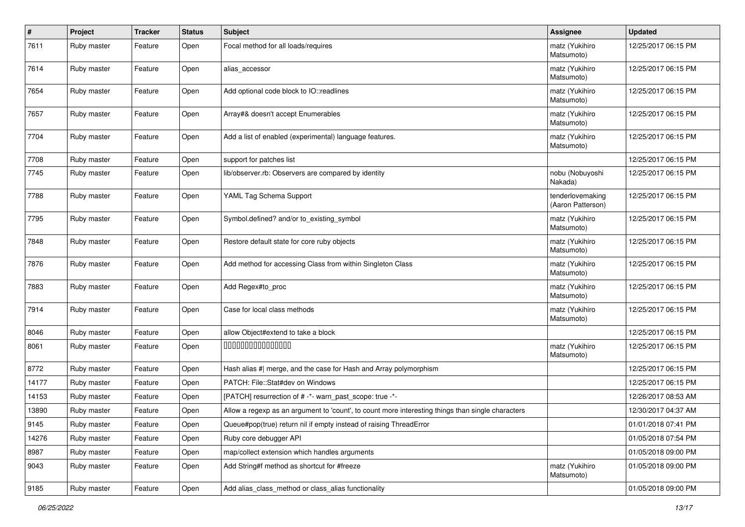| #     | Project     | <b>Tracker</b> | <b>Status</b> | <b>Subject</b>                                                                                    | <b>Assignee</b>                       | <b>Updated</b>      |
|-------|-------------|----------------|---------------|---------------------------------------------------------------------------------------------------|---------------------------------------|---------------------|
| 7611  | Ruby master | Feature        | Open          | Focal method for all loads/requires                                                               | matz (Yukihiro<br>Matsumoto)          | 12/25/2017 06:15 PM |
| 7614  | Ruby master | Feature        | Open          | alias_accessor                                                                                    | matz (Yukihiro<br>Matsumoto)          | 12/25/2017 06:15 PM |
| 7654  | Ruby master | Feature        | Open          | Add optional code block to IO::readlines                                                          | matz (Yukihiro<br>Matsumoto)          | 12/25/2017 06:15 PM |
| 7657  | Ruby master | Feature        | Open          | Array#& doesn't accept Enumerables                                                                | matz (Yukihiro<br>Matsumoto)          | 12/25/2017 06:15 PM |
| 7704  | Ruby master | Feature        | Open          | Add a list of enabled (experimental) language features.                                           | matz (Yukihiro<br>Matsumoto)          | 12/25/2017 06:15 PM |
| 7708  | Ruby master | Feature        | Open          | support for patches list                                                                          |                                       | 12/25/2017 06:15 PM |
| 7745  | Ruby master | Feature        | Open          | lib/observer.rb: Observers are compared by identity                                               | nobu (Nobuyoshi<br>Nakada)            | 12/25/2017 06:15 PM |
| 7788  | Ruby master | Feature        | Open          | YAML Tag Schema Support                                                                           | tenderlovemaking<br>(Aaron Patterson) | 12/25/2017 06:15 PM |
| 7795  | Ruby master | Feature        | Open          | Symbol.defined? and/or to_existing_symbol                                                         | matz (Yukihiro<br>Matsumoto)          | 12/25/2017 06:15 PM |
| 7848  | Ruby master | Feature        | Open          | Restore default state for core ruby objects                                                       | matz (Yukihiro<br>Matsumoto)          | 12/25/2017 06:15 PM |
| 7876  | Ruby master | Feature        | Open          | Add method for accessing Class from within Singleton Class                                        | matz (Yukihiro<br>Matsumoto)          | 12/25/2017 06:15 PM |
| 7883  | Ruby master | Feature        | Open          | Add Regex#to_proc                                                                                 | matz (Yukihiro<br>Matsumoto)          | 12/25/2017 06:15 PM |
| 7914  | Ruby master | Feature        | Open          | Case for local class methods                                                                      | matz (Yukihiro<br>Matsumoto)          | 12/25/2017 06:15 PM |
| 8046  | Ruby master | Feature        | Open          | allow Object#extend to take a block                                                               |                                       | 12/25/2017 06:15 PM |
| 8061  | Ruby master | Feature        | Open          | 000000000000000                                                                                   | matz (Yukihiro<br>Matsumoto)          | 12/25/2017 06:15 PM |
| 8772  | Ruby master | Feature        | Open          | Hash alias #  merge, and the case for Hash and Array polymorphism                                 |                                       | 12/25/2017 06:15 PM |
| 14177 | Ruby master | Feature        | Open          | PATCH: File::Stat#dev on Windows                                                                  |                                       | 12/25/2017 06:15 PM |
| 14153 | Ruby master | Feature        | Open          | [PATCH] resurrection of # -*- warn_past_scope: true -*-                                           |                                       | 12/26/2017 08:53 AM |
| 13890 | Ruby master | Feature        | Open          | Allow a regexp as an argument to 'count', to count more interesting things than single characters |                                       | 12/30/2017 04:37 AM |
| 9145  | Ruby master | Feature        | Open          | Queue#pop(true) return nil if empty instead of raising ThreadError                                |                                       | 01/01/2018 07:41 PM |
| 14276 | Ruby master | Feature        | Open          | Ruby core debugger API                                                                            |                                       | 01/05/2018 07:54 PM |
| 8987  | Ruby master | Feature        | Open          | map/collect extension which handles arguments                                                     |                                       | 01/05/2018 09:00 PM |
| 9043  | Ruby master | Feature        | Open          | Add String#f method as shortcut for #freeze                                                       | matz (Yukihiro<br>Matsumoto)          | 01/05/2018 09:00 PM |
| 9185  | Ruby master | Feature        | Open          | Add alias class method or class alias functionality                                               |                                       | 01/05/2018 09:00 PM |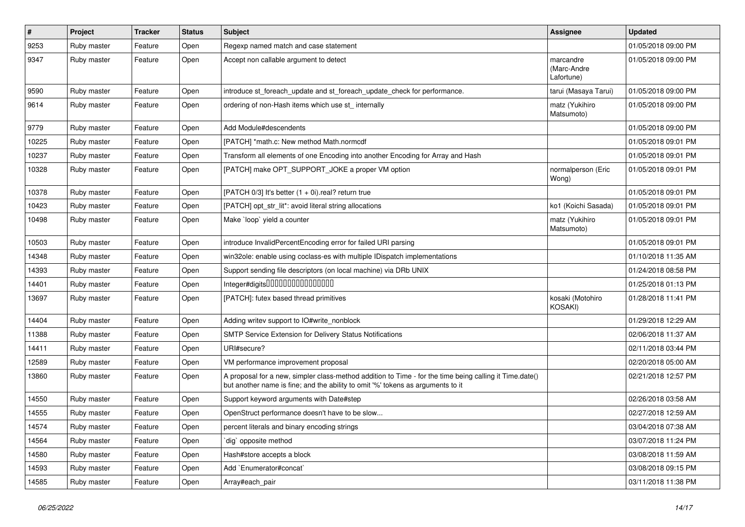| $\pmb{\#}$ | Project     | <b>Tracker</b> | <b>Status</b> | <b>Subject</b>                                                                                                                                                                             | Assignee                               | <b>Updated</b>      |
|------------|-------------|----------------|---------------|--------------------------------------------------------------------------------------------------------------------------------------------------------------------------------------------|----------------------------------------|---------------------|
| 9253       | Ruby master | Feature        | Open          | Regexp named match and case statement                                                                                                                                                      |                                        | 01/05/2018 09:00 PM |
| 9347       | Ruby master | Feature        | Open          | Accept non callable argument to detect                                                                                                                                                     | marcandre<br>(Marc-Andre<br>Lafortune) | 01/05/2018 09:00 PM |
| 9590       | Ruby master | Feature        | Open          | introduce st_foreach_update and st_foreach_update_check for performance.                                                                                                                   | tarui (Masaya Tarui)                   | 01/05/2018 09:00 PM |
| 9614       | Ruby master | Feature        | Open          | ordering of non-Hash items which use st internally                                                                                                                                         | matz (Yukihiro<br>Matsumoto)           | 01/05/2018 09:00 PM |
| 9779       | Ruby master | Feature        | Open          | Add Module#descendents                                                                                                                                                                     |                                        | 01/05/2018 09:00 PM |
| 10225      | Ruby master | Feature        | Open          | [PATCH] *math.c: New method Math.normcdf                                                                                                                                                   |                                        | 01/05/2018 09:01 PM |
| 10237      | Ruby master | Feature        | Open          | Transform all elements of one Encoding into another Encoding for Array and Hash                                                                                                            |                                        | 01/05/2018 09:01 PM |
| 10328      | Ruby master | Feature        | Open          | [PATCH] make OPT_SUPPORT_JOKE a proper VM option                                                                                                                                           | normalperson (Eric<br>Wong)            | 01/05/2018 09:01 PM |
| 10378      | Ruby master | Feature        | Open          | [PATCH 0/3] It's better $(1 + 0i)$ .real? return true                                                                                                                                      |                                        | 01/05/2018 09:01 PM |
| 10423      | Ruby master | Feature        | Open          | [PATCH] opt_str_lit*: avoid literal string allocations                                                                                                                                     | ko1 (Koichi Sasada)                    | 01/05/2018 09:01 PM |
| 10498      | Ruby master | Feature        | Open          | Make `loop` yield a counter                                                                                                                                                                | matz (Yukihiro<br>Matsumoto)           | 01/05/2018 09:01 PM |
| 10503      | Ruby master | Feature        | Open          | introduce InvalidPercentEncoding error for failed URI parsing                                                                                                                              |                                        | 01/05/2018 09:01 PM |
| 14348      | Ruby master | Feature        | Open          | win32ole: enable using coclass-es with multiple IDispatch implementations                                                                                                                  |                                        | 01/10/2018 11:35 AM |
| 14393      | Ruby master | Feature        | Open          | Support sending file descriptors (on local machine) via DRb UNIX                                                                                                                           |                                        | 01/24/2018 08:58 PM |
| 14401      | Ruby master | Feature        | Open          | Integer#digits000000000000000                                                                                                                                                              |                                        | 01/25/2018 01:13 PM |
| 13697      | Ruby master | Feature        | Open          | [PATCH]: futex based thread primitives                                                                                                                                                     | kosaki (Motohiro<br>KOSAKI)            | 01/28/2018 11:41 PM |
| 14404      | Ruby master | Feature        | Open          | Adding writev support to IO#write_nonblock                                                                                                                                                 |                                        | 01/29/2018 12:29 AM |
| 11388      | Ruby master | Feature        | Open          | SMTP Service Extension for Delivery Status Notifications                                                                                                                                   |                                        | 02/06/2018 11:37 AM |
| 14411      | Ruby master | Feature        | Open          | URI#secure?                                                                                                                                                                                |                                        | 02/11/2018 03:44 PM |
| 12589      | Ruby master | Feature        | Open          | VM performance improvement proposal                                                                                                                                                        |                                        | 02/20/2018 05:00 AM |
| 13860      | Ruby master | Feature        | Open          | A proposal for a new, simpler class-method addition to Time - for the time being calling it Time.date()<br>but another name is fine; and the ability to omit '%' tokens as arguments to it |                                        | 02/21/2018 12:57 PM |
| 14550      | Ruby master | Feature        | Open          | Support keyword arguments with Date#step                                                                                                                                                   |                                        | 02/26/2018 03:58 AM |
| 14555      | Ruby master | Feature        | Open          | OpenStruct performance doesn't have to be slow                                                                                                                                             |                                        | 02/27/2018 12:59 AM |
| 14574      | Ruby master | Feature        | Open          | percent literals and binary encoding strings                                                                                                                                               |                                        | 03/04/2018 07:38 AM |
| 14564      | Ruby master | Feature        | Open          | dig opposite method                                                                                                                                                                        |                                        | 03/07/2018 11:24 PM |
| 14580      | Ruby master | Feature        | Open          | Hash#store accepts a block                                                                                                                                                                 |                                        | 03/08/2018 11:59 AM |
| 14593      | Ruby master | Feature        | Open          | Add `Enumerator#concat`                                                                                                                                                                    |                                        | 03/08/2018 09:15 PM |
| 14585      | Ruby master | Feature        | Open          | Array#each_pair                                                                                                                                                                            |                                        | 03/11/2018 11:38 PM |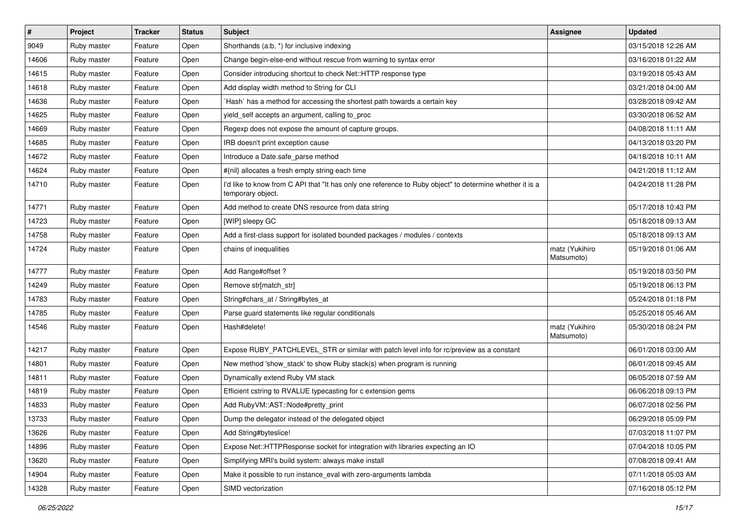| $\pmb{\#}$ | Project     | <b>Tracker</b> | <b>Status</b> | Subject                                                                                                                       | <b>Assignee</b>              | <b>Updated</b>      |
|------------|-------------|----------------|---------------|-------------------------------------------------------------------------------------------------------------------------------|------------------------------|---------------------|
| 9049       | Ruby master | Feature        | Open          | Shorthands (a:b, *) for inclusive indexing                                                                                    |                              | 03/15/2018 12:26 AM |
| 14606      | Ruby master | Feature        | Open          | Change begin-else-end without rescue from warning to syntax error                                                             |                              | 03/16/2018 01:22 AM |
| 14615      | Ruby master | Feature        | Open          | Consider introducing shortcut to check Net::HTTP response type                                                                |                              | 03/19/2018 05:43 AM |
| 14618      | Ruby master | Feature        | Open          | Add display width method to String for CLI                                                                                    |                              | 03/21/2018 04:00 AM |
| 14636      | Ruby master | Feature        | Open          | 'Hash' has a method for accessing the shortest path towards a certain key                                                     |                              | 03/28/2018 09:42 AM |
| 14625      | Ruby master | Feature        | Open          | yield_self accepts an argument, calling to_proc                                                                               |                              | 03/30/2018 06:52 AM |
| 14669      | Ruby master | Feature        | Open          | Regexp does not expose the amount of capture groups.                                                                          |                              | 04/08/2018 11:11 AM |
| 14685      | Ruby master | Feature        | Open          | IRB doesn't print exception cause                                                                                             |                              | 04/13/2018 03:20 PM |
| 14672      | Ruby master | Feature        | Open          | Introduce a Date.safe_parse method                                                                                            |                              | 04/18/2018 10:11 AM |
| 14624      | Ruby master | Feature        | Open          | #{nil} allocates a fresh empty string each time                                                                               |                              | 04/21/2018 11:12 AM |
| 14710      | Ruby master | Feature        | Open          | I'd like to know from C API that "It has only one reference to Ruby object" to determine whether it is a<br>temporary object. |                              | 04/24/2018 11:28 PM |
| 14771      | Ruby master | Feature        | Open          | Add method to create DNS resource from data string                                                                            |                              | 05/17/2018 10:43 PM |
| 14723      | Ruby master | Feature        | Open          | [WIP] sleepy GC                                                                                                               |                              | 05/18/2018 09:13 AM |
| 14758      | Ruby master | Feature        | Open          | Add a first-class support for isolated bounded packages / modules / contexts                                                  |                              | 05/18/2018 09:13 AM |
| 14724      | Ruby master | Feature        | Open          | chains of inequalities                                                                                                        | matz (Yukihiro<br>Matsumoto) | 05/19/2018 01:06 AM |
| 14777      | Ruby master | Feature        | Open          | Add Range#offset?                                                                                                             |                              | 05/19/2018 03:50 PM |
| 14249      | Ruby master | Feature        | Open          | Remove str[match_str]                                                                                                         |                              | 05/19/2018 06:13 PM |
| 14783      | Ruby master | Feature        | Open          | String#chars_at / String#bytes_at                                                                                             |                              | 05/24/2018 01:18 PM |
| 14785      | Ruby master | Feature        | Open          | Parse guard statements like regular conditionals                                                                              |                              | 05/25/2018 05:46 AM |
| 14546      | Ruby master | Feature        | Open          | Hash#delete!                                                                                                                  | matz (Yukihiro<br>Matsumoto) | 05/30/2018 08:24 PM |
| 14217      | Ruby master | Feature        | Open          | Expose RUBY_PATCHLEVEL_STR or similar with patch level info for rc/preview as a constant                                      |                              | 06/01/2018 03:00 AM |
| 14801      | Ruby master | Feature        | Open          | New method 'show_stack' to show Ruby stack(s) when program is running                                                         |                              | 06/01/2018 09:45 AM |
| 14811      | Ruby master | Feature        | Open          | Dynamically extend Ruby VM stack                                                                                              |                              | 06/05/2018 07:59 AM |
| 14819      | Ruby master | Feature        | Open          | Efficient cstring to RVALUE typecasting for c extension gems                                                                  |                              | 06/06/2018 09:13 PM |
| 14833      | Ruby master | Feature        | Open          | Add RubyVM::AST::Node#pretty_print                                                                                            |                              | 06/07/2018 02:56 PM |
| 13733      | Ruby master | Feature        | Open          | Dump the delegator instead of the delegated object                                                                            |                              | 06/29/2018 05:09 PM |
| 13626      | Ruby master | Feature        | Open          | Add String#byteslice!                                                                                                         |                              | 07/03/2018 11:07 PM |
| 14896      | Ruby master | Feature        | Open          | Expose Net::HTTPResponse socket for integration with libraries expecting an IO                                                |                              | 07/04/2018 10:05 PM |
| 13620      | Ruby master | Feature        | Open          | Simplifying MRI's build system: always make install                                                                           |                              | 07/08/2018 09:41 AM |
| 14904      | Ruby master | Feature        | Open          | Make it possible to run instance_eval with zero-arguments lambda                                                              |                              | 07/11/2018 05:03 AM |
| 14328      | Ruby master | Feature        | Open          | SIMD vectorization                                                                                                            |                              | 07/16/2018 05:12 PM |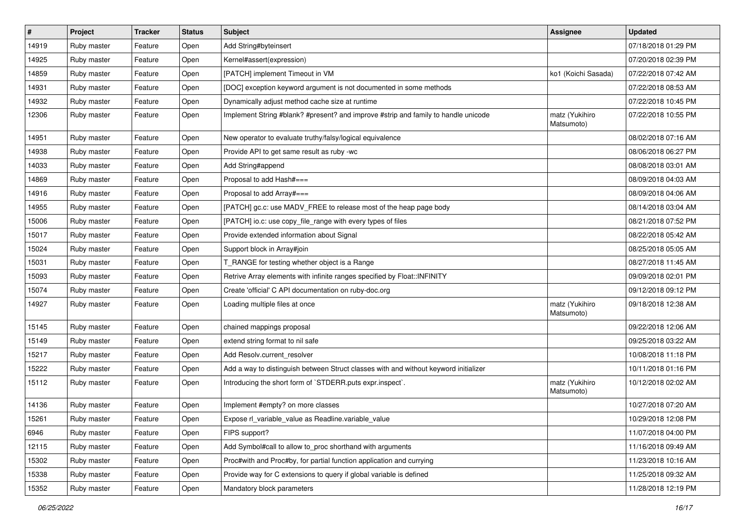| $\vert$ # | Project     | <b>Tracker</b> | <b>Status</b> | Subject                                                                              | <b>Assignee</b>              | <b>Updated</b>      |
|-----------|-------------|----------------|---------------|--------------------------------------------------------------------------------------|------------------------------|---------------------|
| 14919     | Ruby master | Feature        | Open          | Add String#byteinsert                                                                |                              | 07/18/2018 01:29 PM |
| 14925     | Ruby master | Feature        | Open          | Kernel#assert(expression)                                                            |                              | 07/20/2018 02:39 PM |
| 14859     | Ruby master | Feature        | Open          | [PATCH] implement Timeout in VM                                                      | ko1 (Koichi Sasada)          | 07/22/2018 07:42 AM |
| 14931     | Ruby master | Feature        | Open          | [DOC] exception keyword argument is not documented in some methods                   |                              | 07/22/2018 08:53 AM |
| 14932     | Ruby master | Feature        | Open          | Dynamically adjust method cache size at runtime                                      |                              | 07/22/2018 10:45 PM |
| 12306     | Ruby master | Feature        | Open          | Implement String #blank? #present? and improve #strip and family to handle unicode   | matz (Yukihiro<br>Matsumoto) | 07/22/2018 10:55 PM |
| 14951     | Ruby master | Feature        | Open          | New operator to evaluate truthy/falsy/logical equivalence                            |                              | 08/02/2018 07:16 AM |
| 14938     | Ruby master | Feature        | Open          | Provide API to get same result as ruby -wc                                           |                              | 08/06/2018 06:27 PM |
| 14033     | Ruby master | Feature        | Open          | Add String#append                                                                    |                              | 08/08/2018 03:01 AM |
| 14869     | Ruby master | Feature        | Open          | Proposal to add Hash#===                                                             |                              | 08/09/2018 04:03 AM |
| 14916     | Ruby master | Feature        | Open          | Proposal to add Array#===                                                            |                              | 08/09/2018 04:06 AM |
| 14955     | Ruby master | Feature        | Open          | [PATCH] gc.c: use MADV_FREE to release most of the heap page body                    |                              | 08/14/2018 03:04 AM |
| 15006     | Ruby master | Feature        | Open          | [PATCH] io.c: use copy_file_range with every types of files                          |                              | 08/21/2018 07:52 PM |
| 15017     | Ruby master | Feature        | Open          | Provide extended information about Signal                                            |                              | 08/22/2018 05:42 AM |
| 15024     | Ruby master | Feature        | Open          | Support block in Array#join                                                          |                              | 08/25/2018 05:05 AM |
| 15031     | Ruby master | Feature        | Open          | T_RANGE for testing whether object is a Range                                        |                              | 08/27/2018 11:45 AM |
| 15093     | Ruby master | Feature        | Open          | Retrive Array elements with infinite ranges specified by Float::INFINITY             |                              | 09/09/2018 02:01 PM |
| 15074     | Ruby master | Feature        | Open          | Create 'official' C API documentation on ruby-doc.org                                |                              | 09/12/2018 09:12 PM |
| 14927     | Ruby master | Feature        | Open          | Loading multiple files at once                                                       | matz (Yukihiro<br>Matsumoto) | 09/18/2018 12:38 AM |
| 15145     | Ruby master | Feature        | Open          | chained mappings proposal                                                            |                              | 09/22/2018 12:06 AM |
| 15149     | Ruby master | Feature        | Open          | extend string format to nil safe                                                     |                              | 09/25/2018 03:22 AM |
| 15217     | Ruby master | Feature        | Open          | Add Resolv.current_resolver                                                          |                              | 10/08/2018 11:18 PM |
| 15222     | Ruby master | Feature        | Open          | Add a way to distinguish between Struct classes with and without keyword initializer |                              | 10/11/2018 01:16 PM |
| 15112     | Ruby master | Feature        | Open          | Introducing the short form of `STDERR.puts expr.inspect`.                            | matz (Yukihiro<br>Matsumoto) | 10/12/2018 02:02 AM |
| 14136     | Ruby master | Feature        | Open          | Implement #empty? on more classes                                                    |                              | 10/27/2018 07:20 AM |
| 15261     | Ruby master | Feature        | Open          | Expose rl_variable_value as Readline.variable_value                                  |                              | 10/29/2018 12:08 PM |
| 6946      | Ruby master | Feature        | Open          | FIPS support?                                                                        |                              | 11/07/2018 04:00 PM |
| 12115     | Ruby master | Feature        | Open          | Add Symbol#call to allow to_proc shorthand with arguments                            |                              | 11/16/2018 09:49 AM |
| 15302     | Ruby master | Feature        | Open          | Proc#with and Proc#by, for partial function application and currying                 |                              | 11/23/2018 10:16 AM |
| 15338     | Ruby master | Feature        | Open          | Provide way for C extensions to query if global variable is defined                  |                              | 11/25/2018 09:32 AM |
| 15352     | Ruby master | Feature        | Open          | Mandatory block parameters                                                           |                              | 11/28/2018 12:19 PM |